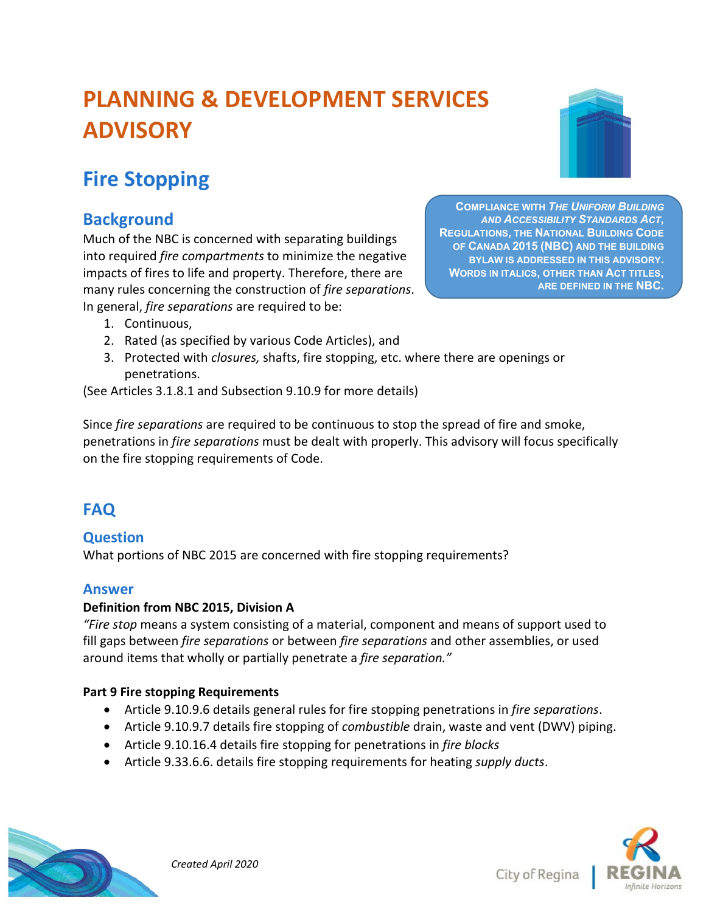# **PLANNING & DEVELOPMENT SERVICES ADVISORY**

# **Fire Stopping**

# **Background**

Much of the NBC is concerned with separating buildings into required *fire compartments* to minimize the negative impacts of fires to life and property. Therefore, there are many rules concerning the construction of *fire separations*. In general, *fire separations* are required to be:

**COMPLIANCE WITH** *THE UNIFORM BUILDING AND ACCESSIBILITY STANDARDS ACT***, REGULATIONS, THE NATIONAL BUILDING CODE OF CANADA 2015 (NBC) AND THE BUILDING BYLAW IS ADDRESSED IN THIS ADVISORY. WORDS IN ITALICS, OTHER THAN ACT TITLES, ARE DEFINED IN THE NBC.**

- 1. Continuous,
- 2. Rated (as specified by various Code Articles), and
- 3. Protected with *closures,* shafts, fire stopping, etc. where there are openings or penetrations.

(See Articles 3.1.8.1 and Subsection 9.10.9 for more details)

Since *fire separations* are required to be continuous to stop the spread of fire and smoke, penetrations in *fire separations* must be dealt with properly. This advisory will focus specifically on the fire stopping requirements of Code.

# **FAQ**

## **Question**

What portions of NBC 2015 are concerned with fire stopping requirements?

### **Answer**

#### **Definition from NBC 2015, Division A**

*"Fire stop* means a system consisting of a material, component and means of support used to fill gaps between *fire separations* or between *fire separations* and other assemblies, or used around items that wholly or partially penetrate a *fire separation."*

#### **Part 9 Fire stopping Requirements**

- Article 9.10.9.6 details general rules for fire stopping penetrations in *fire separations*.
- Article 9.10.9.7 details fire stopping of *combustible* drain, waste and vent (DWV) piping.
- Article 9.10.16.4 details fire stopping for penetrations in *fire blocks*
- Article 9.33.6.6. details fire stopping requirements for heating *supply ducts*.





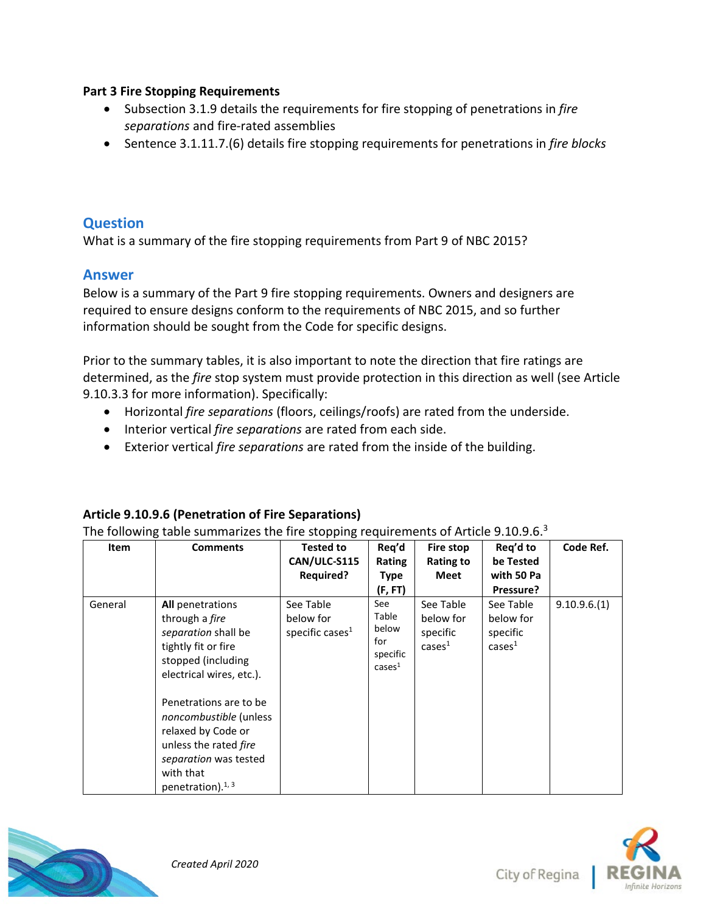#### **Part 3 Fire Stopping Requirements**

- Subsection 3.1.9 details the requirements for fire stopping of penetrations in *fire separations* and fire-rated assemblies
- Sentence 3.1.11.7.(6) details fire stopping requirements for penetrations in *fire blocks*

#### **Question**

What is a summary of the fire stopping requirements from Part 9 of NBC 2015?

#### **Answer**

Below is a summary of the Part 9 fire stopping requirements. Owners and designers are required to ensure designs conform to the requirements of NBC 2015, and so further information should be sought from the Code for specific designs.

Prior to the summary tables, it is also important to note the direction that fire ratings are determined, as the *fire* stop system must provide protection in this direction as well (see Article 9.10.3.3 for more information). Specifically:

- Horizontal *fire separations* (floors, ceilings/roofs) are rated from the underside.
- Interior vertical *fire separations* are rated from each side.
- Exterior vertical *fire separations* are rated from the inside of the building.

#### **Article 9.10.9.6 (Penetration of Fire Separations)**

The following table summarizes the fire stopping requirements of Article 9.10.9.6. $3$ 

| <b>Comments</b>                                                                                                                                                                                                                                                                           | <b>Tested to</b>                             | Req'd                                                        | Fire stop                                              | Req'd to                                               | Code Ref.   |
|-------------------------------------------------------------------------------------------------------------------------------------------------------------------------------------------------------------------------------------------------------------------------------------------|----------------------------------------------|--------------------------------------------------------------|--------------------------------------------------------|--------------------------------------------------------|-------------|
|                                                                                                                                                                                                                                                                                           | CAN/ULC-S115                                 | Rating                                                       | <b>Rating to</b>                                       | be Tested                                              |             |
|                                                                                                                                                                                                                                                                                           | <b>Required?</b>                             | Type                                                         | Meet                                                   | with 50 Pa                                             |             |
|                                                                                                                                                                                                                                                                                           |                                              | (F, FT)                                                      |                                                        | Pressure?                                              |             |
| <b>All</b> penetrations<br>through a <i>fire</i><br>separation shall be<br>tightly fit or fire<br>stopped (including<br>electrical wires, etc.).<br>Penetrations are to be<br>noncombustible (unless<br>relaxed by Code or<br>unless the rated fire<br>separation was tested<br>with that | See Table<br>below for<br>specific cases $1$ | See<br>Table<br>below<br>for<br>specific<br>$\text{cases}^1$ | See Table<br>below for<br>specific<br>$casesmathsf{a}$ | See Table<br>below for<br>specific<br>$casesmathsf{a}$ | 9.10.9.6(1) |
|                                                                                                                                                                                                                                                                                           | penetration). $1, 3$                         |                                                              |                                                        |                                                        |             |



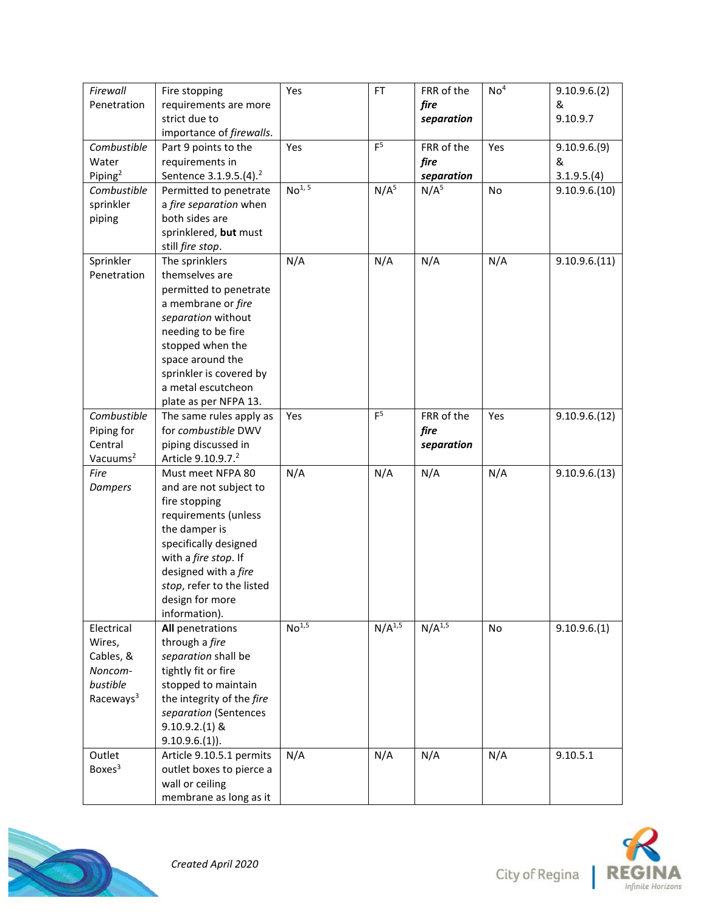| Firewall<br>Penetration                                                           | Fire stopping<br>requirements are more                                                                                                                                                                                                          | Yes                | <b>FT</b>        | FRR of the<br>fire               | No <sup>4</sup> | 9.10.9.6(2)<br>&                |
|-----------------------------------------------------------------------------------|-------------------------------------------------------------------------------------------------------------------------------------------------------------------------------------------------------------------------------------------------|--------------------|------------------|----------------------------------|-----------------|---------------------------------|
|                                                                                   | strict due to<br>importance of firewalls.                                                                                                                                                                                                       |                    |                  | separation                       |                 | 9.10.9.7                        |
| Combustible<br>Water<br>Piping <sup>2</sup>                                       | Part 9 points to the<br>requirements in<br>Sentence 3.1.9.5.(4). <sup>2</sup>                                                                                                                                                                   | Yes                | F <sup>5</sup>   | FRR of the<br>fire<br>separation | Yes             | 9.10.9.6(9)<br>&<br>3.1.9.5.(4) |
| Combustible<br>sprinkler<br>piping                                                | Permitted to penetrate<br>a fire separation when<br>both sides are<br>sprinklered, but must<br>still fire stop.                                                                                                                                 | No <sup>1, 5</sup> | N/A <sup>5</sup> | N/A <sup>5</sup>                 | No              | 9.10.9.6(10)                    |
| Sprinkler<br>Penetration                                                          | The sprinklers<br>themselves are<br>permitted to penetrate<br>a membrane or fire<br>separation without<br>needing to be fire<br>stopped when the<br>space around the<br>sprinkler is covered by<br>a metal escutcheon<br>plate as per NFPA 13.  | N/A                | N/A              | N/A                              | N/A             | 9.10.9.6(11)                    |
| Combustible<br>Piping for<br>Central<br>Vacuums <sup>2</sup>                      | The same rules apply as<br>for combustible DWV<br>piping discussed in<br>Article 9.10.9.7. <sup>2</sup>                                                                                                                                         | Yes                | F <sup>5</sup>   | FRR of the<br>fire<br>separation | Yes             | 9.10.9.6(12)                    |
| Fire<br>Dampers                                                                   | Must meet NFPA 80<br>and are not subject to<br>fire stopping<br>requirements (unless<br>the damper is<br>specifically designed<br>with a fire stop. If<br>designed with a fire<br>stop, refer to the listed<br>design for more<br>information). | N/A                | N/A              | N/A                              | N/A             | 9.10.9.6(13)                    |
| Electrical<br>Wires,<br>Cables, &<br>Noncom-<br>bustible<br>Raceways <sup>3</sup> | All penetrations<br>through a fire<br>separation shall be<br>tightly fit or fire<br>stopped to maintain<br>the integrity of the fire<br>separation (Sentences<br>$9.10.9.2(1)$ &<br>$9.10.9.6(1)$ ).                                            | No <sup>1,5</sup>  | $N/A^{1,5}$      | $N/A^{1,5}$                      | No              | 9.10.9.6(1)                     |
| Outlet<br>Boxes <sup>3</sup>                                                      | Article 9.10.5.1 permits<br>outlet boxes to pierce a<br>wall or ceiling<br>membrane as long as it                                                                                                                                               | N/A                | N/A              | N/A                              | N/A             | 9.10.5.1                        |



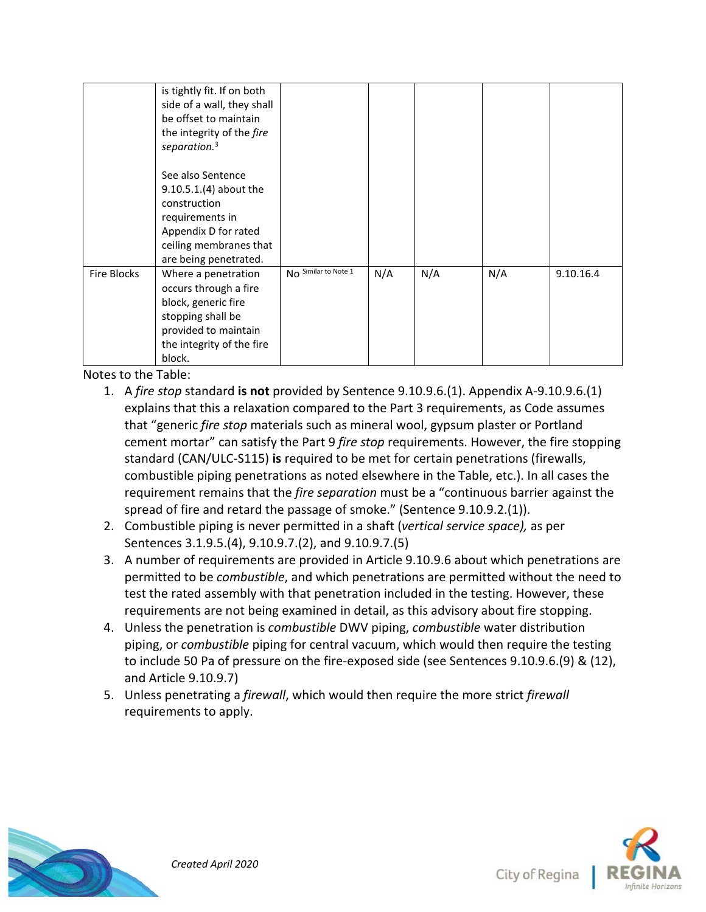|                    | is tightly fit. If on both<br>side of a wall, they shall<br>be offset to maintain<br>the integrity of the fire<br>separation. <sup>3</sup>                 |                      |     |     |     |           |
|--------------------|------------------------------------------------------------------------------------------------------------------------------------------------------------|----------------------|-----|-----|-----|-----------|
|                    | See also Sentence<br>$9.10.5.1(4)$ about the<br>construction<br>requirements in<br>Appendix D for rated<br>ceiling membranes that<br>are being penetrated. |                      |     |     |     |           |
| <b>Fire Blocks</b> | Where a penetration<br>occurs through a fire<br>block, generic fire<br>stopping shall be<br>provided to maintain<br>the integrity of the fire<br>block.    | No Similar to Note 1 | N/A | N/A | N/A | 9.10.16.4 |

Notes to the Table:

- 1. A *fire stop* standard **is not** provided by Sentence 9.10.9.6.(1). Appendix A-9.10.9.6.(1) explains that this a relaxation compared to the Part 3 requirements, as Code assumes that "generic *fire stop* materials such as mineral wool, gypsum plaster or Portland cement mortar" can satisfy the Part 9 *fire stop* requirements. However, the fire stopping standard (CAN/ULC-S115) **is** required to be met for certain penetrations (firewalls, combustible piping penetrations as noted elsewhere in the Table, etc.). In all cases the requirement remains that the *fire separation* must be a "continuous barrier against the spread of fire and retard the passage of smoke." (Sentence 9.10.9.2.(1)).
- 2. Combustible piping is never permitted in a shaft (*vertical service space),* as per Sentences 3.1.9.5.(4), 9.10.9.7.(2), and 9.10.9.7.(5)
- 3. A number of requirements are provided in Article 9.10.9.6 about which penetrations are permitted to be *combustible*, and which penetrations are permitted without the need to test the rated assembly with that penetration included in the testing. However, these requirements are not being examined in detail, as this advisory about fire stopping.
- 4. Unless the penetration is *combustible* DWV piping, *combustible* water distribution piping, or *combustible* piping for central vacuum, which would then require the testing to include 50 Pa of pressure on the fire-exposed side (see Sentences 9.10.9.6.(9) & (12), and Article 9.10.9.7)
- 5. Unless penetrating a *firewall*, which would then require the more strict *firewall* requirements to apply.



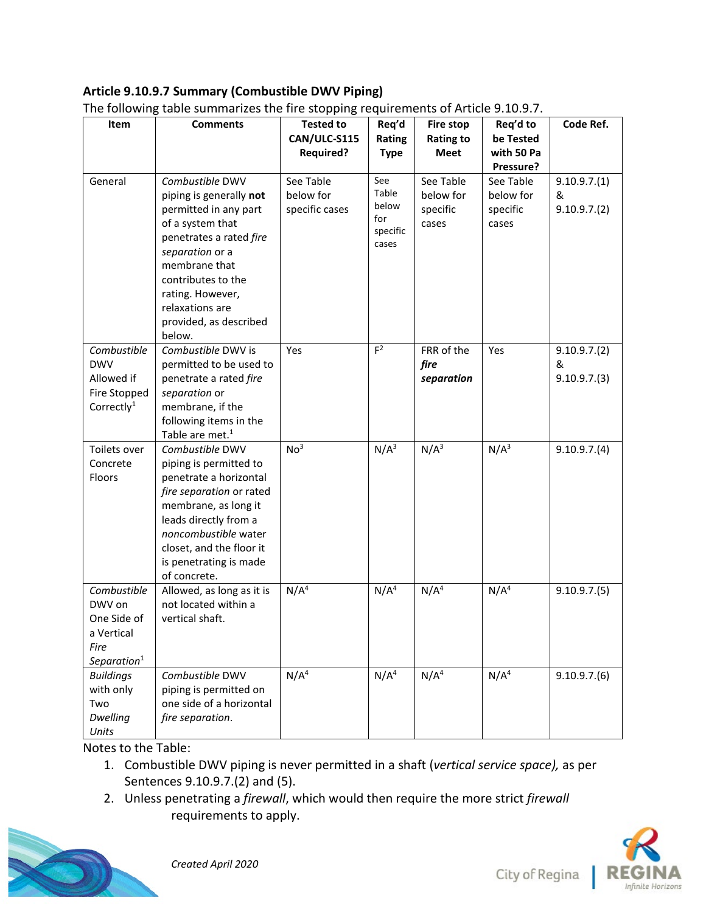#### **Article 9.10.9.7 Summary (Combustible DWV Piping)**

| Item                      | The following table summarizes the fire stopping requirements of Article 3.10.3.7.<br><b>Comments</b>                                 | <b>Tested to</b>                         | Req'd                                             | <b>Fire stop</b>                            | Req'd to                                    | Code Ref.                       |
|---------------------------|---------------------------------------------------------------------------------------------------------------------------------------|------------------------------------------|---------------------------------------------------|---------------------------------------------|---------------------------------------------|---------------------------------|
|                           |                                                                                                                                       | CAN/ULC-S115                             | Rating                                            | <b>Rating to</b>                            | be Tested                                   |                                 |
|                           |                                                                                                                                       | <b>Required?</b>                         | <b>Type</b>                                       | <b>Meet</b>                                 | with 50 Pa<br>Pressure?                     |                                 |
| General                   | Combustible DWV<br>piping is generally not<br>permitted in any part<br>of a system that<br>penetrates a rated fire<br>separation or a | See Table<br>below for<br>specific cases | See<br>Table<br>below<br>for<br>specific<br>cases | See Table<br>below for<br>specific<br>cases | See Table<br>below for<br>specific<br>cases | 9.10.9.7(1)<br>&<br>9.10.9.7(2) |
|                           | membrane that<br>contributes to the<br>rating. However,<br>relaxations are<br>provided, as described<br>below.                        |                                          |                                                   |                                             |                                             |                                 |
| Combustible<br><b>DWV</b> | Combustible DWV is<br>permitted to be used to                                                                                         | Yes                                      | F <sup>2</sup>                                    | FRR of the<br>fire                          | Yes                                         | 9.10.9.7(2)<br>&                |
| Allowed if                | penetrate a rated fire                                                                                                                |                                          |                                                   | separation                                  |                                             | 9.10.9.7(3)                     |
| Fire Stopped              | separation or                                                                                                                         |                                          |                                                   |                                             |                                             |                                 |
| Correctly $1$             | membrane, if the                                                                                                                      |                                          |                                                   |                                             |                                             |                                 |
|                           | following items in the                                                                                                                |                                          |                                                   |                                             |                                             |                                 |
|                           | Table are met. <sup>1</sup>                                                                                                           |                                          |                                                   |                                             |                                             |                                 |
| Toilets over              | Combustible DWV                                                                                                                       | No <sup>3</sup>                          | $N/A^3$                                           | N/A <sup>3</sup>                            | N/A <sup>3</sup>                            | 9.10.9.7(4)                     |
| Concrete                  | piping is permitted to                                                                                                                |                                          |                                                   |                                             |                                             |                                 |
| Floors                    | penetrate a horizontal                                                                                                                |                                          |                                                   |                                             |                                             |                                 |
|                           | fire separation or rated                                                                                                              |                                          |                                                   |                                             |                                             |                                 |
|                           | membrane, as long it                                                                                                                  |                                          |                                                   |                                             |                                             |                                 |
|                           | leads directly from a                                                                                                                 |                                          |                                                   |                                             |                                             |                                 |
|                           | noncombustible water                                                                                                                  |                                          |                                                   |                                             |                                             |                                 |
|                           | closet, and the floor it                                                                                                              |                                          |                                                   |                                             |                                             |                                 |
|                           | is penetrating is made                                                                                                                |                                          |                                                   |                                             |                                             |                                 |
|                           | of concrete.                                                                                                                          |                                          |                                                   |                                             |                                             |                                 |
| Combustible               | Allowed, as long as it is                                                                                                             | N/A <sup>4</sup>                         | N/A <sup>4</sup>                                  | N/A <sup>4</sup>                            | N/A <sup>4</sup>                            | 9.10.9.7(5)                     |
| DWV on                    | not located within a                                                                                                                  |                                          |                                                   |                                             |                                             |                                 |
| One Side of               | vertical shaft.                                                                                                                       |                                          |                                                   |                                             |                                             |                                 |
| a Vertical                |                                                                                                                                       |                                          |                                                   |                                             |                                             |                                 |
| Fire                      |                                                                                                                                       |                                          |                                                   |                                             |                                             |                                 |
| Separation <sup>1</sup>   |                                                                                                                                       |                                          |                                                   |                                             |                                             |                                 |
| <b>Buildings</b>          | Combustible DWV                                                                                                                       | $N/\overline{A^4}$                       | N/A <sup>4</sup>                                  | N/A <sup>4</sup>                            | N/A <sup>4</sup>                            | 9.10.9.7(6)                     |
| with only                 | piping is permitted on                                                                                                                |                                          |                                                   |                                             |                                             |                                 |
| Two                       | one side of a horizontal                                                                                                              |                                          |                                                   |                                             |                                             |                                 |
| <b>Dwelling</b>           | fire separation.                                                                                                                      |                                          |                                                   |                                             |                                             |                                 |
| Units                     |                                                                                                                                       |                                          |                                                   |                                             |                                             |                                 |

The following table summarizes the fire stopping requirements of Article 9.10.9.7.

Notes to the Table:

- 1. Combustible DWV piping is never permitted in a shaft (*vertical service space),* as per Sentences 9.10.9.7.(2) and (5).
- 2. Unless penetrating a *firewall*, which would then require the more strict *firewall* requirements to apply.



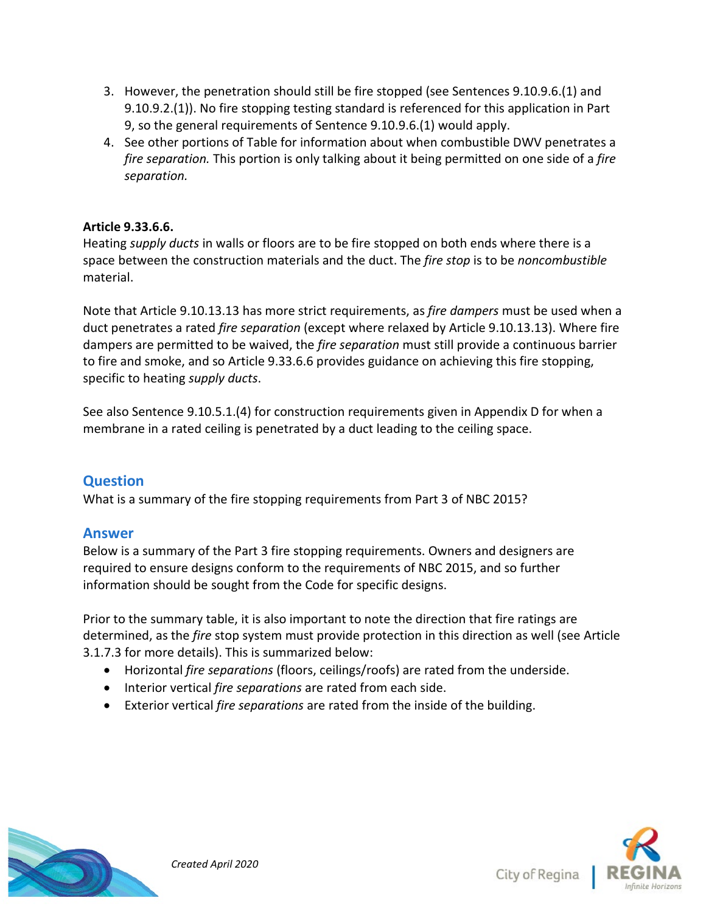- 3. However, the penetration should still be fire stopped (see Sentences 9.10.9.6.(1) and 9.10.9.2.(1)). No fire stopping testing standard is referenced for this application in Part 9, so the general requirements of Sentence 9.10.9.6.(1) would apply.
- 4. See other portions of Table for information about when combustible DWV penetrates a *fire separation.* This portion is only talking about it being permitted on one side of a *fire separation.*

#### **Article 9.33.6.6.**

Heating *supply ducts* in walls or floors are to be fire stopped on both ends where there is a space between the construction materials and the duct. The *fire stop* is to be *noncombustible* material.

Note that Article 9.10.13.13 has more strict requirements, as *fire dampers* must be used when a duct penetrates a rated *fire separation* (except where relaxed by Article 9.10.13.13). Where fire dampers are permitted to be waived, the *fire separation* must still provide a continuous barrier to fire and smoke, and so Article 9.33.6.6 provides guidance on achieving this fire stopping, specific to heating *supply ducts*.

See also Sentence 9.10.5.1.(4) for construction requirements given in Appendix D for when a membrane in a rated ceiling is penetrated by a duct leading to the ceiling space.

### **Question**

What is a summary of the fire stopping requirements from Part 3 of NBC 2015?

#### **Answer**

Below is a summary of the Part 3 fire stopping requirements. Owners and designers are required to ensure designs conform to the requirements of NBC 2015, and so further information should be sought from the Code for specific designs.

Prior to the summary table, it is also important to note the direction that fire ratings are determined, as the *fire* stop system must provide protection in this direction as well (see Article 3.1.7.3 for more details). This is summarized below:

- Horizontal *fire separations* (floors, ceilings/roofs) are rated from the underside.
- Interior vertical *fire separations* are rated from each side.
- Exterior vertical *fire separations* are rated from the inside of the building.



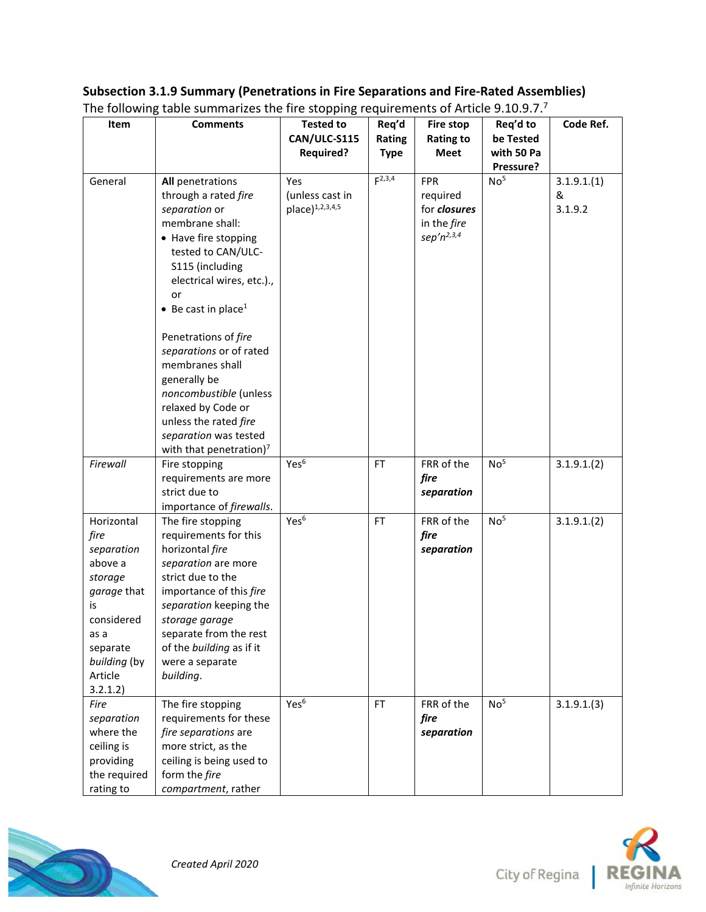#### **Item Comments Tested to CAN/ULC-S115 Required? Req'd Rating Type Fire stop Rating to Meet Req'd to be Tested with 50 Pa Pressure? Code Ref.** General **All** penetrations through a rated *fire separation* or membrane shall: • Have fire stopping tested to CAN/ULC-S115 (including electrical wires, etc.)., or • Be cast in place<sup>1</sup> Penetrations of *fire separations* or of rated membranes shall generally be *noncombustible* (unless relaxed by Code or unless the rated *fire separation* was tested with that penetration)<sup>7</sup> Yes (unless cast in  $place)^{1,2,3,4,5}$  $F^{2,3,4}$  FPR required for *closures* in the *fire sep'n2,3,4*  $No<sup>5</sup>$  3.1.9.1.(1) & 3.1.9.2 *Firewall* Fire stopping requirements are more strict due to importance of *firewalls*.  $Yes<sup>6</sup>$  FT FRR of the *fire separation*  $No<sup>5</sup>$  3.1.9.1.(2) Horizontal *fire separation* above a *storage garage* that is considered as a separate *building* (by Article 3.2.1.2) The fire stopping requirements for this horizontal *fire separation* are more strict due to the importance of this *fire separation* keeping the *storage garage* separate from the rest of the *building* as if it were a separate *building*.  $Yes<sup>6</sup>$  FT FRR of the *fire separation*  $No<sup>5</sup>$  3.1.9.1.(2) *Fire separation* where the ceiling is providing the required rating to The fire stopping requirements for these *fire separations* are more strict, as the ceiling is being used to form the *fire compartment*, rather Yes<sup>6</sup> FT FRR of the *fire separation*  $No<sup>5</sup>$  3.1.9.1.(3)





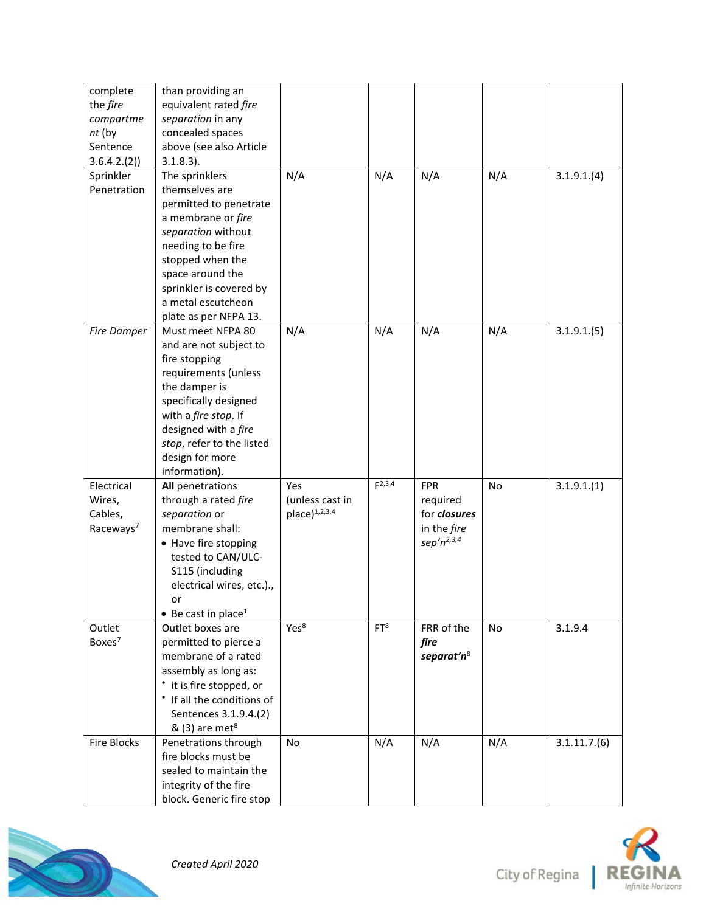| complete<br>the fire<br>compartme<br>nt (by<br>Sentence  | than providing an<br>equivalent rated fire<br>separation in any<br>concealed spaces<br>above (see also Article                                                                                                                                                           |                                              |                 |                                                                           |     |             |
|----------------------------------------------------------|--------------------------------------------------------------------------------------------------------------------------------------------------------------------------------------------------------------------------------------------------------------------------|----------------------------------------------|-----------------|---------------------------------------------------------------------------|-----|-------------|
| 3.6.4.2.(2)<br>Sprinkler<br>Penetration                  | $3.1.8.3$ ).<br>The sprinklers<br>themselves are<br>permitted to penetrate<br>a membrane or fire                                                                                                                                                                         | N/A                                          | N/A             | N/A                                                                       | N/A | 3.1.9.1(4)  |
|                                                          | separation without<br>needing to be fire<br>stopped when the<br>space around the<br>sprinkler is covered by<br>a metal escutcheon                                                                                                                                        |                                              |                 |                                                                           |     |             |
| Fire Damper                                              | plate as per NFPA 13.<br>Must meet NFPA 80<br>and are not subject to<br>fire stopping<br>requirements (unless<br>the damper is<br>specifically designed<br>with a fire stop. If<br>designed with a fire<br>stop, refer to the listed<br>design for more<br>information). | N/A                                          | N/A             | N/A                                                                       | N/A | 3.1.9.1(5)  |
| Electrical<br>Wires,<br>Cables,<br>Raceways <sup>7</sup> | All penetrations<br>through a rated fire<br>separation or<br>membrane shall:<br>• Have fire stopping<br>tested to CAN/ULC-<br>S115 (including<br>electrical wires, etc.).,<br>or<br>• Be cast in place <sup>1</sup>                                                      | Yes<br>(unless cast in<br>$place)^{1,2,3,4}$ | $F^{2,3,4}$     | <b>FPR</b><br>required<br>for closures<br>in the fire<br>sep' $n^{2,3,4}$ | No  | 3.1.9.1(1)  |
| Outlet<br>Boxes <sup>7</sup>                             | Outlet boxes are<br>permitted to pierce a<br>membrane of a rated<br>assembly as long as:<br>• it is fire stopped, or<br>• If all the conditions of<br>Sentences 3.1.9.4.(2)<br>& (3) are met <sup>8</sup>                                                                | Yes <sup>8</sup>                             | FT <sup>8</sup> | FRR of the<br>fire<br>separat'n <sup>8</sup>                              | No  | 3.1.9.4     |
| Fire Blocks                                              | Penetrations through<br>fire blocks must be<br>sealed to maintain the<br>integrity of the fire<br>block. Generic fire stop                                                                                                                                               | <b>No</b>                                    | N/A             | N/A                                                                       | N/A | 3.1.11.7(6) |



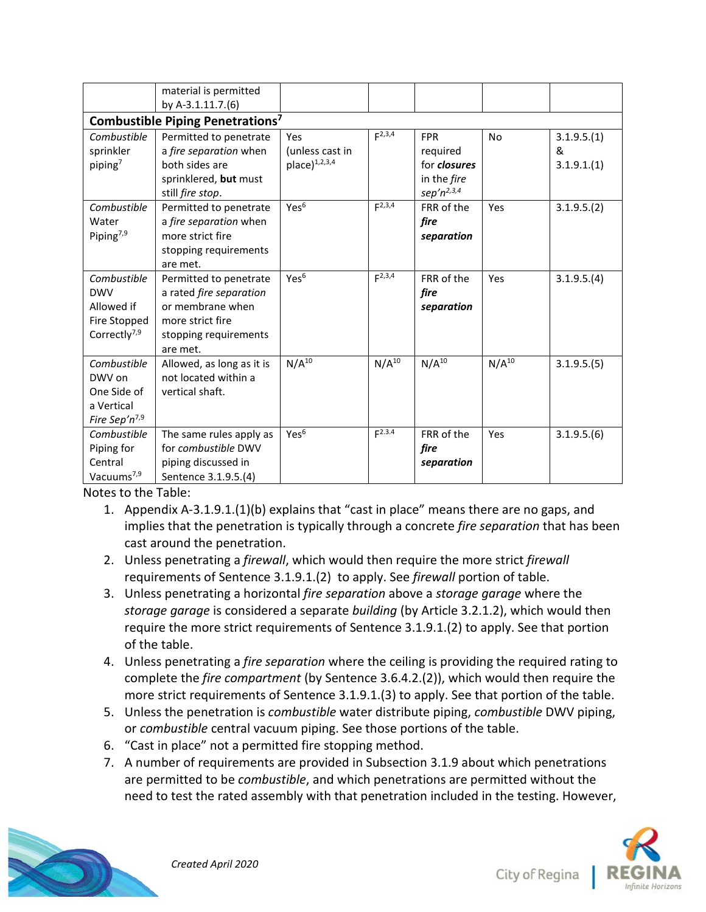|                                              | material is permitted     |                    |             |                 |            |             |  |
|----------------------------------------------|---------------------------|--------------------|-------------|-----------------|------------|-------------|--|
|                                              | by A-3.1.11.7.(6)         |                    |             |                 |            |             |  |
| Combustible Piping Penetrations <sup>7</sup> |                           |                    |             |                 |            |             |  |
| Combustible                                  | Permitted to penetrate    | Yes                | $F^{2,3,4}$ | <b>FPR</b>      | <b>No</b>  | 3.1.9.5(1)  |  |
| sprinkler                                    | a fire separation when    | (unless cast in    |             | required        |            | &           |  |
| piping <sup>7</sup>                          | both sides are            | $place)^{1,2,3,4}$ |             | for closures    |            | 3.1.9.1(1)  |  |
|                                              | sprinklered, but must     |                    |             | in the fire     |            |             |  |
|                                              | still fire stop.          |                    |             | $sep'n^{2,3,4}$ |            |             |  |
| Combustible                                  | Permitted to penetrate    | Yes <sup>6</sup>   | $F^{2,3,4}$ | FRR of the      | Yes        | 3.1.9.5.(2) |  |
| Water                                        | a fire separation when    |                    |             | fire            |            |             |  |
| Piping <sup>7,9</sup>                        | more strict fire          |                    |             | separation      |            |             |  |
|                                              | stopping requirements     |                    |             |                 |            |             |  |
|                                              | are met.                  |                    |             |                 |            |             |  |
| Combustible                                  | Permitted to penetrate    | Yes <sup>6</sup>   | $F^{2,3,4}$ | FRR of the      | Yes        | 3.1.9.5.(4) |  |
| <b>DWV</b>                                   | a rated fire separation   |                    |             | fire            |            |             |  |
| Allowed if                                   | or membrane when          |                    |             | separation      |            |             |  |
| Fire Stopped                                 | more strict fire          |                    |             |                 |            |             |  |
| Correctly <sup>7,9</sup>                     | stopping requirements     |                    |             |                 |            |             |  |
|                                              | are met.                  |                    |             |                 |            |             |  |
| Combustible                                  | Allowed, as long as it is | $N/A^{10}$         | $N/A^{10}$  | $N/A^{10}$      | $N/A^{10}$ | 3.1.9.5.(5) |  |
| DWV on                                       | not located within a      |                    |             |                 |            |             |  |
| One Side of                                  | vertical shaft.           |                    |             |                 |            |             |  |
| a Vertical                                   |                           |                    |             |                 |            |             |  |
| Fire Sep'n <sup>7,9</sup>                    |                           |                    |             |                 |            |             |  |
| Combustible                                  | The same rules apply as   | Yes <sup>6</sup>   | $F^{2.3.4}$ | FRR of the      | Yes        | 3.1.9.5.(6) |  |
| Piping for                                   | for combustible DWV       |                    |             | fire            |            |             |  |
| Central                                      | piping discussed in       |                    |             | separation      |            |             |  |
| Vacuums <sup>7,9</sup>                       | Sentence 3.1.9.5.(4)      |                    |             |                 |            |             |  |

Notes to the Table:

- 1. Appendix A-3.1.9.1.(1)(b) explains that "cast in place" means there are no gaps, and implies that the penetration is typically through a concrete *fire separation* that has been cast around the penetration.
- 2. Unless penetrating a *firewall*, which would then require the more strict *firewall* requirements of Sentence 3.1.9.1.(2) to apply. See *firewall* portion of table.
- 3. Unless penetrating a horizontal *fire separation* above a *storage garage* where the *storage garage* is considered a separate *building* (by Article 3.2.1.2), which would then require the more strict requirements of Sentence 3.1.9.1.(2) to apply. See that portion of the table.
- 4. Unless penetrating a *fire separation* where the ceiling is providing the required rating to complete the *fire compartment* (by Sentence 3.6.4.2.(2)), which would then require the more strict requirements of Sentence 3.1.9.1.(3) to apply. See that portion of the table.
- 5. Unless the penetration is *combustible* water distribute piping, *combustible* DWV piping, or *combustible* central vacuum piping. See those portions of the table.
- 6. "Cast in place" not a permitted fire stopping method.
- 7. A number of requirements are provided in Subsection 3.1.9 about which penetrations are permitted to be *combustible*, and which penetrations are permitted without the need to test the rated assembly with that penetration included in the testing. However,





City of Regina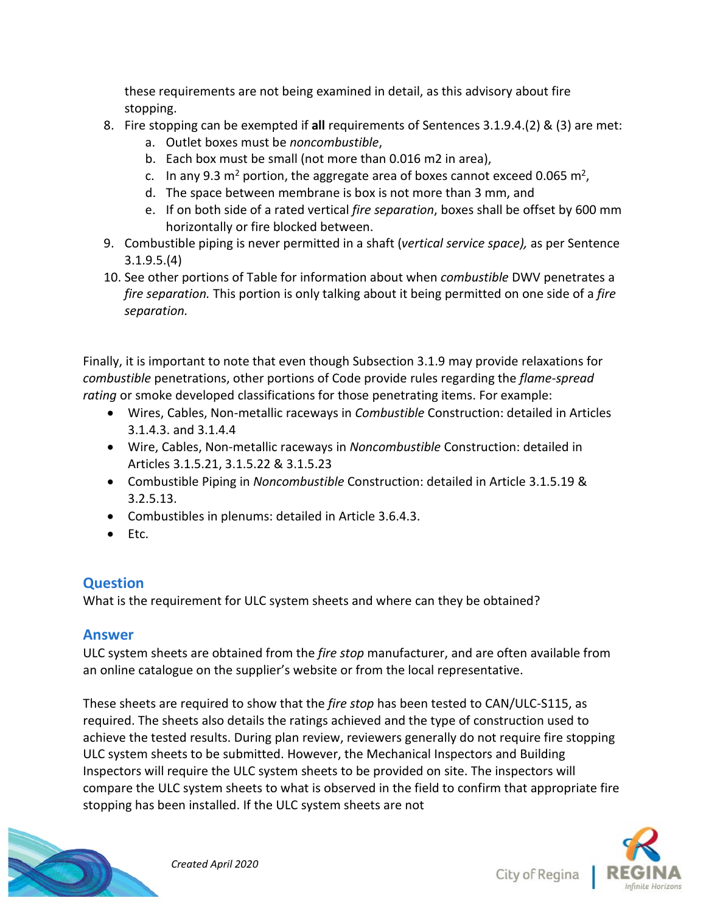these requirements are not being examined in detail, as this advisory about fire stopping.

- 8. Fire stopping can be exempted if **all** requirements of Sentences 3.1.9.4.(2) & (3) are met:
	- a. Outlet boxes must be *noncombustible*,
	- b. Each box must be small (not more than 0.016 m2 in area),
	- c. In any 9.3 m<sup>2</sup> portion, the aggregate area of boxes cannot exceed 0.065 m<sup>2</sup>,
	- d. The space between membrane is box is not more than 3 mm, and
	- e. If on both side of a rated vertical *fire separation*, boxes shall be offset by 600 mm horizontally or fire blocked between.
- 9. Combustible piping is never permitted in a shaft (*vertical service space),* as per Sentence 3.1.9.5.(4)
- 10. See other portions of Table for information about when *combustible* DWV penetrates a *fire separation.* This portion is only talking about it being permitted on one side of a *fire separation.*

Finally, it is important to note that even though Subsection 3.1.9 may provide relaxations for *combustible* penetrations, other portions of Code provide rules regarding the *flame-spread rating* or smoke developed classifications for those penetrating items. For example:

- Wires, Cables, Non-metallic raceways in *Combustible* Construction: detailed in Articles 3.1.4.3. and 3.1.4.4
- Wire, Cables, Non-metallic raceways in *Noncombustible* Construction: detailed in Articles 3.1.5.21, 3.1.5.22 & 3.1.5.23
- Combustible Piping in *Noncombustible* Construction: detailed in Article 3.1.5.19 & 3.2.5.13.
- Combustibles in plenums: detailed in Article 3.6.4.3.
- Etc.

## **Question**

What is the requirement for ULC system sheets and where can they be obtained?

### **Answer**

ULC system sheets are obtained from the *fire stop* manufacturer, and are often available from an online catalogue on the supplier's website or from the local representative.

These sheets are required to show that the *fire stop* has been tested to CAN/ULC-S115, as required. The sheets also details the ratings achieved and the type of construction used to achieve the tested results. During plan review, reviewers generally do not require fire stopping ULC system sheets to be submitted. However, the Mechanical Inspectors and Building Inspectors will require the ULC system sheets to be provided on site. The inspectors will compare the ULC system sheets to what is observed in the field to confirm that appropriate fire stopping has been installed. If the ULC system sheets are not





City of Regina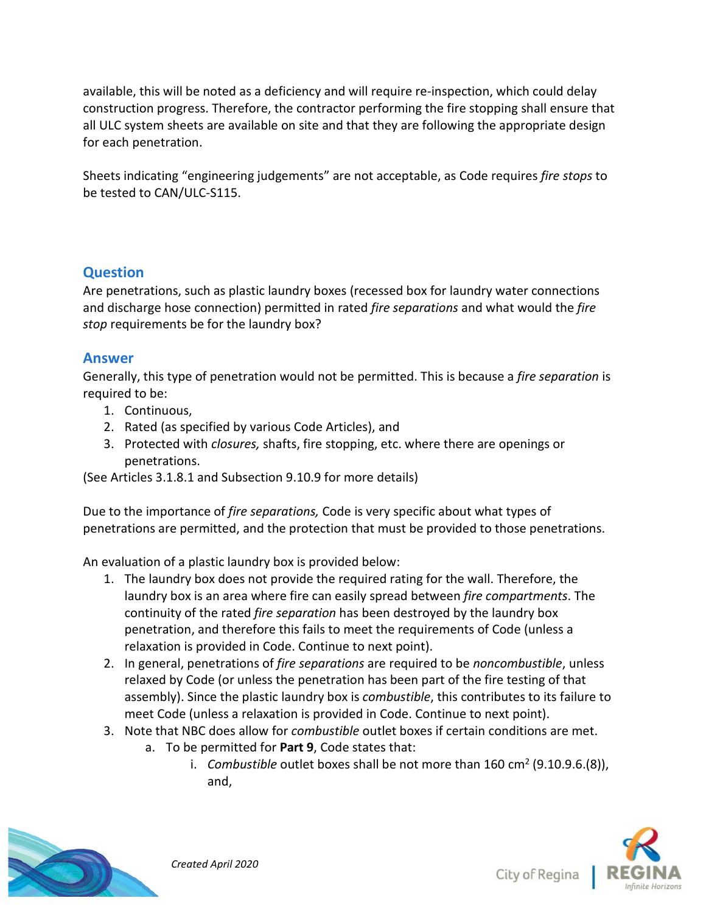available, this will be noted as a deficiency and will require re-inspection, which could delay construction progress. Therefore, the contractor performing the fire stopping shall ensure that all ULC system sheets are available on site and that they are following the appropriate design for each penetration.

Sheets indicating "engineering judgements" are not acceptable, as Code requires *fire stops* to be tested to CAN/ULC-S115.

#### **Question**

Are penetrations, such as plastic laundry boxes (recessed box for laundry water connections and discharge hose connection) permitted in rated *fire separations* and what would the *fire stop* requirements be for the laundry box?

#### **Answer**

Generally, this type of penetration would not be permitted. This is because a *fire separation* is required to be:

- 1. Continuous,
- 2. Rated (as specified by various Code Articles), and
- 3. Protected with *closures,* shafts, fire stopping, etc. where there are openings or penetrations.

(See Articles 3.1.8.1 and Subsection 9.10.9 for more details)

Due to the importance of *fire separations,* Code is very specific about what types of penetrations are permitted, and the protection that must be provided to those penetrations.

An evaluation of a plastic laundry box is provided below:

- 1. The laundry box does not provide the required rating for the wall. Therefore, the laundry box is an area where fire can easily spread between *fire compartments*. The continuity of the rated *fire separation* has been destroyed by the laundry box penetration, and therefore this fails to meet the requirements of Code (unless a relaxation is provided in Code. Continue to next point).
- 2. In general, penetrations of *fire separations* are required to be *noncombustible*, unless relaxed by Code (or unless the penetration has been part of the fire testing of that assembly). Since the plastic laundry box is *combustible*, this contributes to its failure to meet Code (unless a relaxation is provided in Code. Continue to next point).
- 3. Note that NBC does allow for *combustible* outlet boxes if certain conditions are met.
	- a. To be permitted for **Part 9**, Code states that:
		- i. *Combustible* outlet boxes shall be not more than 160 cm2 (9.10.9.6.(8)), and,